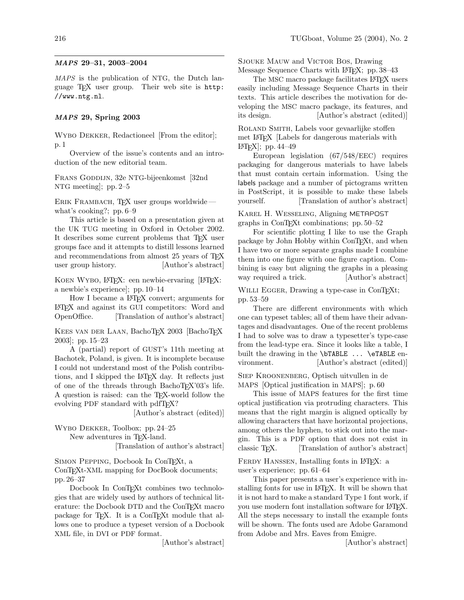## MAPS 29–31, 2003–2004

MAPS is the publication of NTG, the Dutch language TEX user group. Their web site is [http:](http://www.ntg.nl) [//www.ntg.nl](http://www.ntg.nl).

## MAPS 29, Spring 2003

WYBO DEKKER, Redactioneel From the editor. p. 1

Overview of the issue's contents and an introduction of the new editorial team.

Frans Goddijn, 32e NTG-bijeenkomst [32nd NTG meeting]; pp. 2–5

ERIK FRAMBACH, TFX user groups worldwide what's cooking?; pp. 6–9

This article is based on a presentation given at the UK TUG meeting in Oxford in October 2002. It describes some current problems that TEX user groups face and it attempts to distill lessons learned and recommendations from almost 25 years of TFX user group history. [Author's abstract]

KOEN WYBO, L<sup>A</sup>T<sub>E</sub>X: een newbie-ervaring [L<sup>A</sup>T<sub>E</sub>X: a newbie's experience]; pp. 10–14

How I became a LATEX convert; arguments for LATEX and against its GUI competitors: Word and<br>OpenOffice. [Translation of author's abstract] [Translation of author's abstract]

KEES VAN DER LAAN, BachoTFX 2003 BachoTFX 2003]; pp. 15–23

A (partial) report of GUST's 11th meeting at Bachotek, Poland, is given. It is incomplete because I could not understand most of the Polish contributions, and I skipped the L<sup>AT</sup>FX day. It reflects just of one of the threads through BachoTEX'03's life. A question is raised: can the TEX-world follow the evolving PDF standard with pdfT<sub>F</sub>X?

[Author's abstract (edited)]

Wybo Dekker, Toolbox; pp. 24–25 New adventures in TEX-land.

[Translation of author's abstract]

SIMON PEPPING, Docbook In ConTEXt, a ConTEXt-XML mapping for DocBook documents; pp. 26–37

Docbook In ConTEXt combines two technologies that are widely used by authors of technical literature: the Docbook DTD and the ConTEXt macro package for T<sub>E</sub>X. It is a ConT<sub>E</sub>X<sub>t</sub> module that allows one to produce a typeset version of a Docbook XML file, in DVI or PDF format.

[Author's abstract]

SJOUKE MAUW and VICTOR BOS, Drawing Message Sequence Charts with L<sup>AT</sup>F<sub>X</sub>; pp. 38–43

The MSC macro package facilitates L<sup>AT</sup>EX users easily including Message Sequence Charts in their texts. This article describes the motivation for developing the MSC macro package, its features, and its design. [Author's abstract (edited)]

Roland Smith, Labels voor gevaarlijke stoffen met LATEX [Labels for dangerous materials with LATEX]; pp. 44–49

European legislation (67/548/EEC) requires packaging for dangerous materials to have labels that must contain certain information. Using the labels package and a number of pictograms written in PostScript, it is possible to make these labels yourself. [Translation of author's abstract]

Karel H. Wesseling, Aligning METAPOST graphs in ConTEXt combinations; pp. 50–52

For scientific plotting I like to use the Graph package by John Hobby within ConTEXt, and when I have two or more separate graphs made I combine them into one figure with one figure caption. Combining is easy but aligning the graphs in a pleasing way required a trick. [Author's abstract]

WILLI EGGER, Drawing a type-case in ConTEXt; pp. 53–59

There are different environments with which one can typeset tables; all of them have their advantages and disadvantages. One of the recent problems I had to solve was to draw a typesetter's type-case from the lead-type era. Since it looks like a table, I built the drawing in the \bTABLE ... \eTABLE environment. [Author's abstract (edited)]

Siep Kroonenberg, Optisch uitvullen in de MAPS [Optical justification in MAPS]; p. 60

This issue of MAPS features for the first time optical justification via protruding characters. This means that the right margin is aligned optically by allowing characters that have horizontal projections, among others the hyphen, to stick out into the margin. This is a PDF option that does not exist in classic T<sub>F</sub>X. [Translation of author's abstract]

FERDY HANSSEN, Installing fonts in L<sup>AT</sup>EX: a user's experience; pp. 61–64

This paper presents a user's experience with installing fonts for use in LATEX. It will be shown that it is not hard to make a standard Type 1 font work, if you use modern font installation software for LATEX. All the steps necessary to install the example fonts will be shown. The fonts used are Adobe Garamond from Adobe and Mrs. Eaves from Emigre.

[Author's abstract]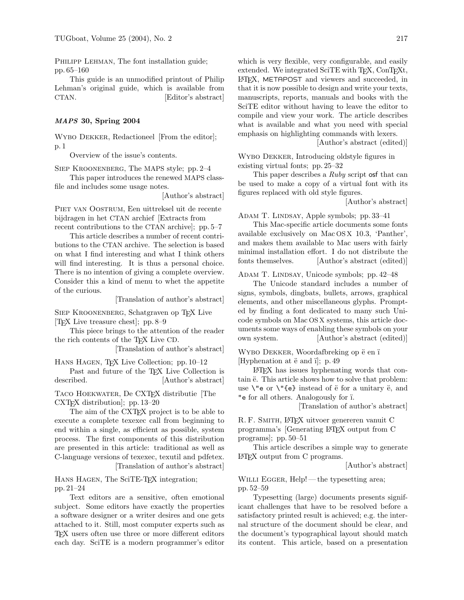PHILIPP LEHMAN, The font installation guide; pp. 65–160

This guide is an unmodified printout of Philip Lehman's original guide, which is available from CTAN. **[Editor's abstract]** 

## MAPS 30, Spring 2004

Wybo Dekker, Redactioneel [From the editor]; p. 1

Overview of the issue's contents.

SIEP KROONENBERG, The MAPS style; pp. 2–4

This paper introduces the renewed MAPS classfile and includes some usage notes.

[Author's abstract]

Piet van Oostrum, Een uittreksel uit de recente bijdragen in het CTAN archief [Extracts from recent contributions to the CTAN archive]; pp. 5–7

This article describes a number of recent contributions to the CTAN archive. The selection is based on what I find interesting and what I think others will find interesting. It is thus a personal choice. There is no intention of giving a complete overview. Consider this a kind of menu to whet the appetite of the curious.

[Translation of author's abstract]

Siep Kroonenberg, Schatgraven op TEX Live [TEX Live treasure chest]; pp. 8–9

This piece brings to the attention of the reader the rich contents of the TEX Live CD.

[Translation of author's abstract]

Hans Hagen, TEX Live Collection; pp. 10–12

Past and future of the T<sub>E</sub>X Live Collection is<br>described. [Author's abstract] Author's abstract

Taco Hoekwater, De CXTEX distributie [The CXTEX distribution]; pp. 13–20

The aim of the CXT<sub>F</sub>X project is to be able to execute a complete texexec call from beginning to end within a single, as efficient as possible, system process. The first components of this distribution are presented in this article: traditional as well as C-language versions of texexec, texutil and pdfetex. [Translation of author's abstract]

Hans Hagen, The SciTE-TEX integration; pp. 21–24

Text editors are a sensitive, often emotional subject. Some editors have exactly the properties a software designer or a writer desires and one gets attached to it. Still, most computer experts such as TEX users often use three or more different editors each day. SciTE is a modern programmer's editor which is very flexible, very configurable, and easily extended. We integrated SciTE with T<sub>E</sub>X, ConT<sub>E</sub>X<sub>t</sub>, LATEX, METAPOST and viewers and succeeded, in that it is now possible to design and write your texts, manuscripts, reports, manuals and books with the SciTE editor without having to leave the editor to compile and view your work. The article describes what is available and what you need with special emphasis on highlighting commands with lexers.

[Author's abstract (edited)]

Wybo Dekker, Introducing oldstyle figures in existing virtual fonts; pp. 25–32

This paper describes a Ruby script osf that can be used to make a copy of a virtual font with its figures replaced with old style figures.

[Author's abstract]

ADAM T. LINDSAY, Apple symbols; pp. 33–41

This Mac-specific article documents some fonts available exclusively on Mac OS X 10.3, 'Panther', and makes them available to Mac users with fairly minimal installation effort. I do not distribute the fonts themselves. [Author's abstract (edited)]

ADAM T. LINDSAY, Unicode symbols; pp. 42-48

The Unicode standard includes a number of signs, symbols, dingbats, bullets, arrows, graphical elements, and other miscellaneous glyphs. Prompted by finding a font dedicated to many such Unicode symbols on Mac OS X systems, this article documents some ways of enabling these symbols on your own system. [Author's abstract (edited)]

WYBO DEKKER, Woordafbreking op ë en ï [Hyphenation at  $\ddot{e}$  and i]; p. 49

LATEX has issues hyphenating words that contain  $\ddot{e}$ . This article shows how to solve that problem: use  $\vee$ "e or  $\vee$ "{e} instead of  $\ddot{e}$  for a unitary  $\ddot{e}$ , and "e for all others. Analogously for ¨ı.

[Translation of author's abstract]

R. F. SMITH, L<sup>AT</sup>EX uitvoer genereren vanuit C programma's [Generating LATEX output from C programs]; pp. 50–51

This article describes a simple way to generate LATEX output from C programs.

[Author's abstract]

WILLI EGGER, Help!— the typesetting area; pp. 52–59

Typesetting (large) documents presents significant challenges that have to be resolved before a satisfactory printed result is achieved; e.g. the internal structure of the document should be clear, and the document's typographical layout should match its content. This article, based on a presentation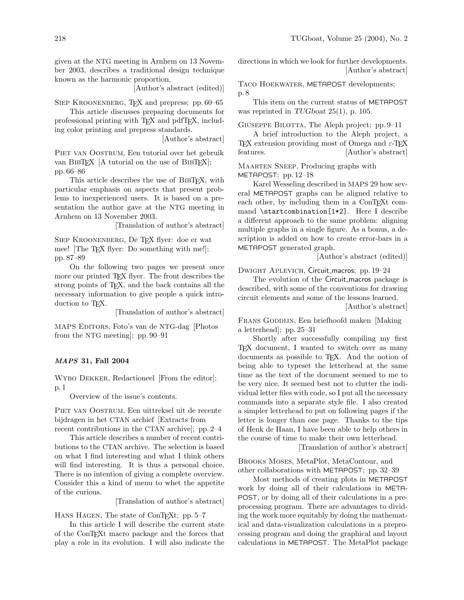given at the NTG meeting in Arnhem on 13 November 2003, describes a traditional design technique known as the harmonic proportion.

[Author's abstract (edited)]

SIEP KROONENBERG, TEX and prepress; pp. 60–65

This article discusses preparing documents for professional printing with TEX and pdfTEX, including color printing and prepress standards.

[Author's abstract]

Piet van Oostrum, Een tutorial over het gebruik van BibTEX [A tutorial on the use of BibTEX]; pp. 66–86

This article describes the use of BibTEX, with particular emphasis on aspects that present problems to inexperienced users. It is based on a presentation the author gave at the NTG meeting in Arnhem on 13 November 2003.

[Translation of author's abstract]

Siep Kroonenberg, De TEX flyer: doe er wat mee! [The TEX flyer: Do something with me!]; pp. 87–89

On the following two pages we present once more our printed T<sub>EX</sub> flyer. The front describes the strong points of TEX, and the back contains all the necessary information to give people a quick introduction to T<sub>F</sub>X.

[Translation of author's abstract]

MAPS EDITORS, Foto's van de NTG-dag [Photos] from the NTG meeting]; pp. 90–91

## MAPS 31, Fall 2004

Wybo Dekker, Redactioneel [From the editor]; p. 1

Overview of the issue's contents.

Piet van Oostrum, Een uittreksel uit de recente bijdragen in het CTAN archief [Extracts from recent contributions in the CTAN archive]; pp. 2–4

This article describes a number of recent contributions to the CTAN archive. The selection is based on what I find interesting and what I think others will find interesting. It is thus a personal choice. There is no intention of giving a complete overview. Consider this a kind of menu to whet the appetite of the curious.

[Translation of author's abstract]

HANS HAGEN, The state of ConT<sub>E</sub>Xt; pp. 5–7

In this article I will describe the current state of the ConTEXt macro package and the forces that play a role in its evolution. I will also indicate the

directions in which we look for further developments. [Author's abstract]

Taco Hoekwater, METAPOST developments; p. 8

This item on the current status of METAPOST was reprinted in TUGboat 25(1), p. 105.

GIUSEPPE BILOTTA, The Aleph project; pp. 9–11

A brief introduction to the Aleph project, a TEX extension providing most of Omega and  $\varepsilon$ -TEX features. [Author's abstract]

Maarten Sneep, Producing graphs with METAPOST; pp. 12–18

Karel Wesseling described in MAPS 29 how several METAPOST graphs can be aligned relative to each other, by including them in a ConTEXt command \startcombination[1\*2]. Here I describe a different approach to the same problem: aligning multiple graphs in a single figure. As a bonus, a description is added on how to create error-bars in a METAPOST generated graph.

[Author's abstract (edited)]

DWIGHT APLEVICH, Circuit\_macros; pp. 19-24

The evolution of the Circuit macros package is described, with some of the conventions for drawing circuit elements and some of the lessons learned.

[Author's abstract]

FRANS GODDIJN, Een briefhoofd maken [Making a letterhead]; pp. 25–31

Shortly after successfully compiling my first TEX document, I wanted to switch over as many documents as possible to T<sub>E</sub>X. And the notion of being able to typeset the letterhead at the same time as the text of the document seemed to me to be very nice. It seemed best not to clutter the individual letter files with code, so I put all the necessary commands into a separate style file. I also created a simpler letterhead to put on following pages if the letter is longer than one page. Thanks to the tips of Henk de Haan, I have been able to help others in the course of time to make their own letterhead.

[Translation of author's abstract]

Brooks Moses, MetaPlot, MetaContour, and other collaborations with METAPOST; pp. 32–39

Most methods of creating plots in METAPOST work by doing all of their calculations in META-POST, or by doing all of their calculations in a preprocessing program. There are advantages to dividing the work more equitably by doing the mathematical and data-visualization calculations in a preprocessing program and doing the graphical and layout calculations in METAPOST. The MetaPlot package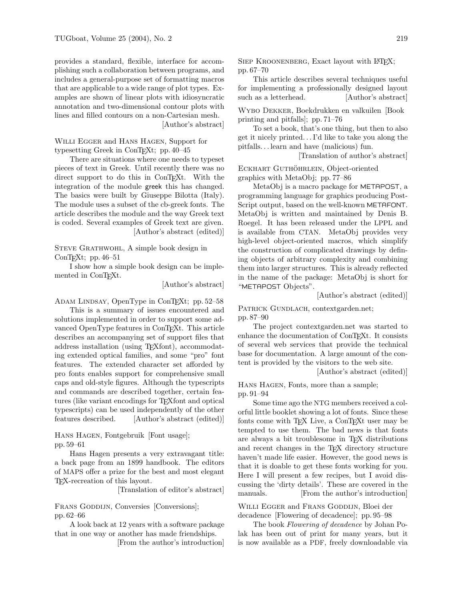provides a standard, flexible, interface for accomplishing such a collaboration between programs, and includes a general-purpose set of formatting macros that are applicable to a wide range of plot types. Examples are shown of linear plots with idiosyncratic annotation and two-dimensional contour plots with lines and filled contours on a non-Cartesian mesh. [Author's abstract]

Willi Egger and Hans Hagen, Support for typesetting Greek in ConTEXt; pp. 40–45

There are situations where one needs to typeset pieces of text in Greek. Until recently there was no direct support to do this in ConT<sub>EXt</sub>. With the integration of the module greek this has changed. The basics were built by Giuseppe Bilotta (Italy). The module uses a subset of the cb-greek fonts. The article describes the module and the way Greek text is coded. Several examples of Greek text are given. [Author's abstract (edited)]

STEVE GRATHWOHL, A simple book design in ConT<sub>E</sub>Xt; pp.  $46-51$ 

I show how a simple book design can be implemented in ConT<sub>EXt</sub>.

[Author's abstract]

ADAM LINDSAY, OpenType in ConT<sub>EXt</sub>; pp. 52–58

This is a summary of issues encountered and solutions implemented in order to support some advanced OpenType features in ConTEXt. This article describes an accompanying set of support files that address installation (using TEXfont), accommodating extended optical families, and some "pro" font features. The extended character set afforded by pro fonts enables support for comprehensive small caps and old-style figures. Although the typescripts and commands are described together, certain features (like variant encodings for T<sub>E</sub>Xfont and optical typescripts) can be used independently of the other features described. [Author's abstract (edited)]

HANS HAGEN, Fontgebruik [Font usage]; pp. 59–61

Hans Hagen presents a very extravagant title: a back page from an 1899 handbook. The editors of MAPS offer a prize for the best and most elegant TEX-recreation of this layout.

[Translation of editor's abstract]

FRANS GODDIJN, Conversies [Conversions]; pp. 62–66

A look back at 12 years with a software package that in one way or another has made friendships.

[From the author's introduction]

SIEP KROONENBERG, Exact layout with L<sup>AT</sup>EX; pp. 67–70

This article describes several techniques useful for implementing a professionally designed layout such as a letterhead. [Author's abstract]

Wybo Dekker, Boekdrukken en valkuilen [Book printing and pitfalls]; pp. 71–76

To set a book, that's one thing, but then to also get it nicely printed. . . I'd like to take you along the pitfalls. . . learn and have (malicious) fun.

[Translation of author's abstract]

ECKHART GUTHÖHRLEIN, Object-oriented graphics with MetaObj; pp. 77–86

MetaObj is a macro package for METAPOST, a programming language for graphics producing Post-Script output, based on the well-known METAFONT. MetaObj is written and maintained by Denis B. Roegel. It has been released under the LPPL and is available from CTAN. MetaObj provides very high-level object-oriented macros, which simplify the construction of complicated drawings by defining objects of arbitrary complexity and combining them into larger structures. This is already reflected in the name of the package: MetaObj is short for "METAPOST Objects".

[Author's abstract (edited)]

PATRICK GUNDLACH, contextgarden.net; pp. 87–90

The project contextgarden.net was started to enhance the documentation of ConTEXt. It consists of several web services that provide the technical base for documentation. A large amount of the content is provided by the visitors to the web site.

[Author's abstract (edited)]

Hans Hagen, Fonts, more than a sample; pp. 91–94

Some time ago the NTG members received a colorful little booklet showing a lot of fonts. Since these fonts come with TEX Live, a ConTEXt user may be tempted to use them. The bad news is that fonts are always a bit troublesome in TEX distributions and recent changes in the TEX directory structure haven't made life easier. However, the good news is that it is doable to get these fonts working for you. Here I will present a few recipes, but I avoid discussing the 'dirty details'. These are covered in the manuals. [From the author's introduction]

WILLI EGGER and FRANS GODDIJN, Bloei der decadence [Flowering of decadence]; pp. 95–98

The book Flowering of decadence by Johan Polak has been out of print for many years, but it is now available as a PDF, freely downloadable via